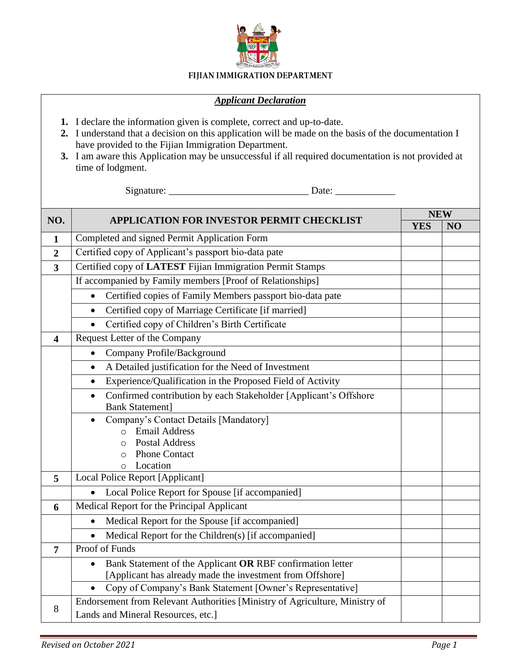

## FIJIAN IMMIGRATION DEPARTMENT

## *Applicant Declaration*

- **1.** I declare the information given is complete, correct and up-to-date.
- **2.** I understand that a decision on this application will be made on the basis of the documentation I have provided to the Fijian Immigration Department.
- **3.** I am aware this Application may be unsuccessful if all required documentation is not provided at time of lodgment.

Signature: \_\_\_\_\_\_\_\_\_\_\_\_\_\_\_\_\_\_\_\_\_\_\_\_\_\_\_\_ Date: \_\_\_\_\_\_\_\_\_\_\_\_

| NO.                     | <b>APPLICATION FOR INVESTOR PERMIT CHECKLIST</b>                              | <b>NEW</b> |    |
|-------------------------|-------------------------------------------------------------------------------|------------|----|
|                         |                                                                               | <b>YES</b> | NO |
| $\mathbf{1}$            | Completed and signed Permit Application Form                                  |            |    |
| $\overline{2}$          | Certified copy of Applicant's passport bio-data pate                          |            |    |
| $\overline{\mathbf{3}}$ | Certified copy of LATEST Fijian Immigration Permit Stamps                     |            |    |
|                         | If accompanied by Family members [Proof of Relationships]                     |            |    |
|                         | Certified copies of Family Members passport bio-data pate<br>$\bullet$        |            |    |
|                         | Certified copy of Marriage Certificate [if married]<br>$\bullet$              |            |    |
|                         | Certified copy of Children's Birth Certificate<br>$\bullet$                   |            |    |
| $\overline{\mathbf{4}}$ | Request Letter of the Company                                                 |            |    |
|                         | Company Profile/Background<br>$\bullet$                                       |            |    |
|                         | A Detailed justification for the Need of Investment<br>$\bullet$              |            |    |
|                         | Experience/Qualification in the Proposed Field of Activity<br>$\bullet$       |            |    |
|                         | Confirmed contribution by each Stakeholder [Applicant's Offshore<br>$\bullet$ |            |    |
|                         | <b>Bank Statement</b> ]                                                       |            |    |
|                         | Company's Contact Details [Mandatory]<br>$\bullet$                            |            |    |
|                         | <b>Email Address</b><br>$\circ$<br><b>Postal Address</b>                      |            |    |
|                         | $\Omega$<br><b>Phone Contact</b><br>$\circ$                                   |            |    |
|                         | Location<br>$\circ$                                                           |            |    |
| 5                       | Local Police Report [Applicant]                                               |            |    |
|                         | Local Police Report for Spouse [if accompanied]                               |            |    |
| 6                       | Medical Report for the Principal Applicant                                    |            |    |
|                         | Medical Report for the Spouse [if accompanied]<br>$\bullet$                   |            |    |
|                         | Medical Report for the Children(s) [if accompanied]<br>$\bullet$              |            |    |
| $\overline{7}$          | Proof of Funds                                                                |            |    |
|                         | Bank Statement of the Applicant OR RBF confirmation letter<br>$\bullet$       |            |    |
|                         | [Applicant has already made the investment from Offshore]                     |            |    |
|                         | Copy of Company's Bank Statement [Owner's Representative]<br>$\bullet$        |            |    |
| 8                       | Endorsement from Relevant Authorities [Ministry of Agriculture, Ministry of   |            |    |
|                         | Lands and Mineral Resources, etc.]                                            |            |    |